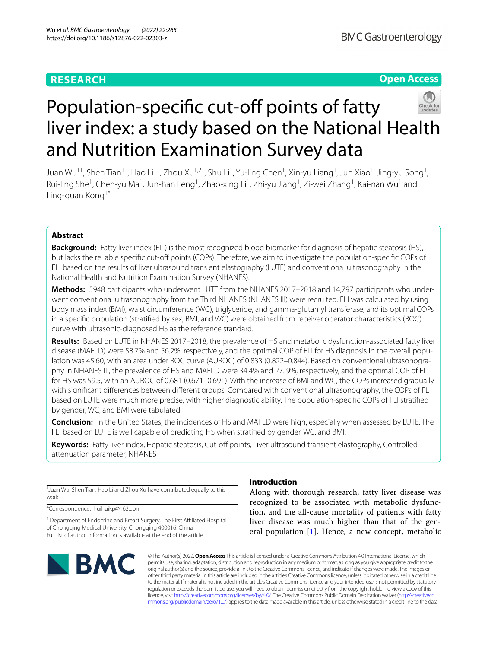# **RESEARCH**

# **Open Access**



# Population-specific cut-off points of fatty liver index: a study based on the National Health and Nutrition Examination Survey data

Juan Wu<sup>1†</sup>, Shen Tian<sup>1†</sup>, Hao Li<sup>1†</sup>, Zhou Xu<sup>1,2†</sup>, Shu Li<sup>1</sup>, Yu-ling Chen<sup>1</sup>, Xin-yu Liang<sup>1</sup>, Jun Xiao<sup>1</sup>, Jing-yu Song<sup>1</sup>, Rui-ling She<sup>1</sup>, Chen-yu Ma<sup>1</sup>, Jun-han Feng<sup>1</sup>, Zhao-xing Li<sup>1</sup>, Zhi-yu Jiang<sup>1</sup>, Zi-wei Zhang<sup>1</sup>, Kai-nan Wu<sup>1</sup> and Ling-guan Kong<sup>1\*</sup>

# **Abstract**

**Background:** Fatty liver index (FLI) is the most recognized blood biomarker for diagnosis of hepatic steatosis (HS), but lacks the reliable specific cut-off points (COPs). Therefore, we aim to investigate the population-specific COPs of FLI based on the results of liver ultrasound transient elastography (LUTE) and conventional ultrasonography in the National Health and Nutrition Examination Survey (NHANES).

Methods: 5948 participants who underwent LUTE from the NHANES 2017-2018 and 14,797 participants who underwent conventional ultrasonography from the Third NHANES (NHANES III) were recruited. FLI was calculated by using body mass index (BMI), waist circumference (WC), triglyceride, and gamma-glutamyl transferase, and its optimal COPs in a specifc population (stratifed by sex, BMI, and WC) were obtained from receiver operator characteristics (ROC) curve with ultrasonic-diagnosed HS as the reference standard.

**Results:** Based on LUTE in NHANES 2017–2018, the prevalence of HS and metabolic dysfunction-associated fatty liver disease (MAFLD) were 58.7% and 56.2%, respectively, and the optimal COP of FLI for HS diagnosis in the overall population was 45.60, with an area under ROC curve (AUROC) of 0.833 (0.822-0.844). Based on conventional ultrasonography in NHANES III, the prevalence of HS and MAFLD were 34.4% and 27. 9%, respectively, and the optimal COP of FLI for HS was 59.5, with an AUROC of 0.681 (0.671–0.691). With the increase of BMI and WC, the COPs increased gradually with signifcant diferences between diferent groups. Compared with conventional ultrasonography, the COPs of FLI based on LUTE were much more precise, with higher diagnostic ability. The population-specifc COPs of FLI stratifed by gender, WC, and BMI were tabulated.

**Conclusion:** In the United States, the incidences of HS and MAFLD were high, especially when assessed by LUTE. The FLI based on LUTE is well capable of predicting HS when stratifed by gender, WC, and BMI.

Keywords: Fatty liver index, Hepatic steatosis, Cut-off points, Liver ultrasound transient elastography, Controlled attenuation parameter, NHANES

† Juan Wu, Shen Tian, Hao Li and Zhou Xu have contributed equally to this work

\*Correspondence: huihuikp@163.com

<sup>1</sup> Department of Endocrine and Breast Surgery, The First Affiliated Hospital of Chongging Medical University, Chongging 400016, China Full list of author information is available at the end of the article



# **Introduction**

Along with thorough research, fatty liver disease was recognized to be associated with metabolic dysfunction, and the all-cause mortality of patients with fatty liver disease was much higher than that of the general population [\[1](#page-11-0)]. Hence, a new concept, metabolic

© The Author(s) 2022. **Open Access** This article is licensed under a Creative Commons Attribution 4.0 International License, which permits use, sharing, adaptation, distribution and reproduction in any medium or format, as long as you give appropriate credit to the original author(s) and the source, provide a link to the Creative Commons licence, and indicate if changes were made. The images or other third party material in this article are included in the article's Creative Commons licence, unless indicated otherwise in a credit line to the material. If material is not included in the article's Creative Commons licence and your intended use is not permitted by statutory regulation or exceeds the permitted use, you will need to obtain permission directly from the copyright holder. To view a copy of this licence, visit [http://creativecommons.org/licenses/by/4.0/.](http://creativecommons.org/licenses/by/4.0/) The Creative Commons Public Domain Dedication waiver ([http://creativeco](http://creativecommons.org/publicdomain/zero/1.0/) [mmons.org/publicdomain/zero/1.0/](http://creativecommons.org/publicdomain/zero/1.0/)) applies to the data made available in this article, unless otherwise stated in a credit line to the data.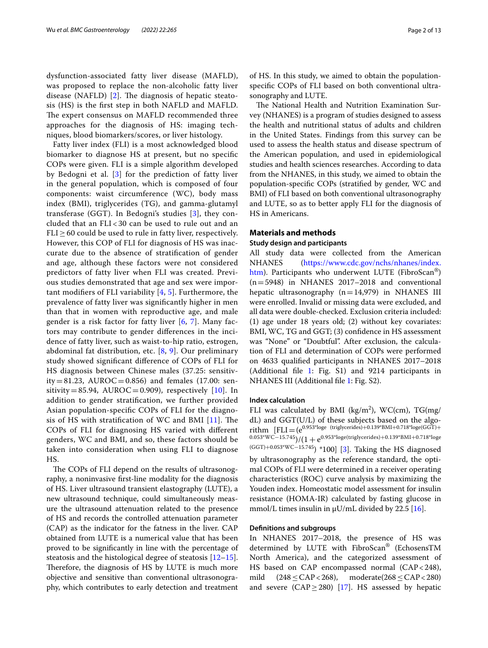dysfunction-associated fatty liver disease (MAFLD), was proposed to replace the non-alcoholic fatty liver disease (NAFLD)  $[2]$  $[2]$ . The diagnosis of hepatic steatosis (HS) is the frst step in both NAFLD and MAFLD. The expert consensus on MAFLD recommended three approaches for the diagnosis of HS: imaging techniques, blood biomarkers/scores, or liver histology.

Fatty liver index (FLI) is a most acknowledged blood biomarker to diagnose HS at present, but no specifc COPs were given. FLI is a simple algorithm developed by Bedogni et al. [\[3](#page-11-2)] for the prediction of fatty liver in the general population, which is composed of four components: waist circumference (WC), body mass index (BMI), triglycerides (TG), and gamma-glutamyl transferase (GGT). In Bedogni's studies [[3](#page-11-2)], they concluded that an FLI < 30 can be used to rule out and an  $FLI > 60$  could be used to rule in fatty liver, respectively. However, this COP of FLI for diagnosis of HS was inaccurate due to the absence of stratifcation of gender and age, although these factors were not considered predictors of fatty liver when FLI was created. Previous studies demonstrated that age and sex were important modifiers of FLI variability  $[4, 5]$  $[4, 5]$  $[4, 5]$  $[4, 5]$ . Furthermore, the prevalence of fatty liver was signifcantly higher in men than that in women with reproductive age, and male gender is a risk factor for fatty liver [\[6](#page-11-5), [7](#page-11-6)]. Many factors may contribute to gender diferences in the incidence of fatty liver, such as waist-to-hip ratio, estrogen, abdominal fat distribution, etc.  $[8, 9]$  $[8, 9]$  $[8, 9]$ . Our preliminary study showed signifcant diference of COPs of FLI for HS diagnosis between Chinese males (37.25: sensitivity = 81.23, AUROC = 0.856) and females (17.00: sensitivity=85.94, AUROC=0.909), respectively  $[10]$ . In addition to gender stratifcation, we further provided Asian population-specifc COPs of FLI for the diagnosis of HS with stratification of WC and BMI  $[11]$  $[11]$ . The COPs of FLI for diagnosing HS varied with diferent genders, WC and BMI, and so, these factors should be taken into consideration when using FLI to diagnose HS.

The COPs of FLI depend on the results of ultrasonography, a noninvasive frst-line modality for the diagnosis of HS. Liver ultrasound transient elastography (LUTE), a new ultrasound technique, could simultaneously measure the ultrasound attenuation related to the presence of HS and records the controlled attenuation parameter (CAP) as the indicator for the fatness in the liver. CAP obtained from LUTE is a numerical value that has been proved to be signifcantly in line with the percentage of steatosis and the histological degree of steatosis [[12](#page-11-11)[–15](#page-11-12)]. Therefore, the diagnosis of HS by LUTE is much more objective and sensitive than conventional ultrasonography, which contributes to early detection and treatment of HS. In this study, we aimed to obtain the populationspecifc COPs of FLI based on both conventional ultrasonography and LUTE.

The National Health and Nutrition Examination Survey (NHANES) is a program of studies designed to assess the health and nutritional status of adults and children in the United States. Findings from this survey can be used to assess the health status and disease spectrum of the American population, and used in epidemiological studies and health sciences researches. According to data from the NHANES, in this study, we aimed to obtain the population-specifc COPs (stratifed by gender, WC and BMI) of FLI based on both conventional ultrasonography and LUTE, so as to better apply FLI for the diagnosis of HS in Americans.

# **Materials and methods**

# **Study design and participants**

All study data were collected from the American NHANES [\(https://www.cdc.gov/nchs/nhanes/index.](https://www.cdc.gov/nchs/nhanes/index.htm) [htm\)](https://www.cdc.gov/nchs/nhanes/index.htm). Participants who underwent LUTE (FibroScan®)  $(n=5948)$  in NHANES 2017–2018 and conventional hepatic ultrasonography  $(n=14,979)$  in NHANES III were enrolled. Invalid or missing data were excluded, and all data were double-checked. Exclusion criteria included: (1) age under 18 years old; (2) without key covariates: BMI, WC, TG and GGT; (3) confidence in HS assessment was "None" or "Doubtful". After exclusion, the calculation of FLI and determination of COPs were performed on 4633 qualifed participants in NHANES 2017–2018 (Additional fle [1:](#page-10-0) Fig. S1) and 9214 participants in NHANES III (Additional fle [1:](#page-10-0) Fig. S2).

#### **Index calculation**

FLI was calculated by BMI ( $\text{kg/m}^2$ ), WC(cm), TG(mg/ dL) and GGT(U/L) of these subjects based on the algorithm  $[FLI = (e^{0.953*loge} (triglycerides) + 0.139*BMI + 0.718*loge(GGT) +$ 0.053\*WC−15.745)/(1 +  $e^{0.953*}$ loge(triglycerides)+0.139\*BMI+0.718\*loge (GGT)+0.053\*WC−15.745) \*100] [\[3](#page-11-2)]. Taking the HS diagnosed by ultrasonography as the reference standard, the optimal COPs of FLI were determined in a receiver operating characteristics (ROC) curve analysis by maximizing the Youden index. Homeostatic model assessment for insulin resistance (HOMA-IR) calculated by fasting glucose in mmol/L times insulin in  $\mu$ U/mL divided by 22.5 [[16\]](#page-11-13).

#### **Defnitions and subgroups**

In NHANES 2017–2018, the presence of HS was determined by LUTE with FibroScan® (EchosensTM North America), and the categorized assessment of HS based on CAP encompassed normal (CAP<248), mild  $(248 \leq \text{CAP} < 268)$ , moderate $(268 \leq \text{CAP} < 280)$ and severe (CAP  $\geq$  280) [\[17](#page-11-14)]. HS assessed by hepatic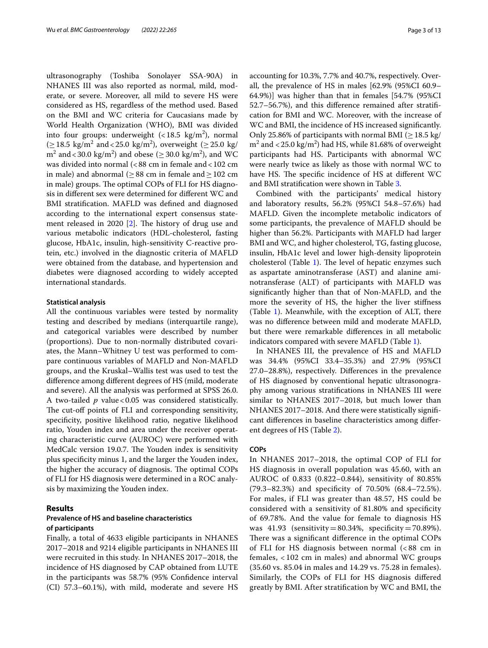ultrasonography (Toshiba Sonolayer SSA-90A) in NHANES III was also reported as normal, mild, moderate, or severe. Moreover, all mild to severe HS were considered as HS, regardless of the method used. Based on the BMI and WC criteria for Caucasians made by World Health Organization (WHO), BMI was divided into four groups: underweight  $(< 18.5 \text{ kg/m}^2)$ , normal (≥18.5 kg/m<sup>2</sup> and <25.0 kg/m<sup>2</sup>), overweight (≥25.0 kg/  $\text{m}^2$  and < 30.0 kg/m<sup>2</sup>) and obese ( $\geq$  30.0 kg/m<sup>2</sup>), and WC was divided into normal (<88 cm in female and<102 cm in male) and abnormal ( $\geq$  88 cm in female and  $\geq$  102 cm in male) groups. The optimal COPs of FLI for HS diagnosis in diferent sex were determined for diferent WC and BMI stratifcation. MAFLD was defned and diagnosed according to the international expert consensus statement released in 2020  $[2]$  $[2]$ . The history of drug use and various metabolic indicators (HDL-cholesterol, fasting glucose, HbA1c, insulin, high-sensitivity C-reactive protein, etc.) involved in the diagnostic criteria of MAFLD were obtained from the database, and hypertension and diabetes were diagnosed according to widely accepted international standards.

#### **Statistical analysis**

All the continuous variables were tested by normality testing and described by medians (interquartile range), and categorical variables were described by number (proportions). Due to non-normally distributed covariates, the Mann–Whitney U test was performed to compare continuous variables of MAFLD and Non-MAFLD groups, and the Kruskal–Wallis test was used to test the diference among diferent degrees of HS (mild, moderate and severe). All the analysis was performed at SPSS 26.0. A two-tailed *p* value < 0.05 was considered statistically. The cut-off points of FLI and corresponding sensitivity, specifcity, positive likelihood ratio, negative likelihood ratio, Youden index and area under the receiver operating characteristic curve (AUROC) were performed with MedCalc version 19.0.7. The Youden index is sensitivity plus specifcity minus 1, and the larger the Youden index, the higher the accuracy of diagnosis. The optimal COPs of FLI for HS diagnosis were determined in a ROC analysis by maximizing the Youden index.

# **Results**

# **Prevalence of HS and baseline characteristics of participants**

Finally, a total of 4633 eligible participants in NHANES 2017–2018 and 9214 eligible participants in NHANES III were recruited in this study. In NHANES 2017–2018, the incidence of HS diagnosed by CAP obtained from LUTE in the participants was 58.7% (95% Confdence interval (CI) 57.3–60.1%), with mild, moderate and severe HS accounting for 10.3%, 7.7% and 40.7%, respectively. Overall, the prevalence of HS in males [62.9% (95%CI 60.9– 64.9%)] was higher than that in females [54.7% (95%CI 52.7–56.7%), and this diference remained after stratifcation for BMI and WC. Moreover, with the increase of WC and BMI, the incidence of HS increased signifcantly. Only 25.86% of participants with normal BMI ( $\geq$  18.5 kg/  $m^2$  and  $\langle 25.0 \text{ kg/m}^2 \rangle$  had HS, while 81.68% of overweight participants had HS. Participants with abnormal WC were nearly twice as likely as those with normal WC to have HS. The specific incidence of HS at different WC and BMI stratifcation were shown in Table [3.](#page-5-0)

Combined with the participants' medical history and laboratory results, 56.2% (95%CI 54.8–57.6%) had MAFLD. Given the incomplete metabolic indicators of some participants, the prevalence of MAFLD should be higher than 56.2%. Participants with MAFLD had larger BMI and WC, and higher cholesterol, TG, fasting glucose, insulin, HbA1c level and lower high-density lipoprotein cholesterol (Table [1\)](#page-3-0). The level of hepatic enzymes such as aspartate aminotransferase (AST) and alanine aminotransferase (ALT) of participants with MAFLD was signifcantly higher than that of Non-MAFLD, and the more the severity of HS, the higher the liver stifness (Table [1](#page-3-0)). Meanwhile, with the exception of ALT, there was no diference between mild and moderate MAFLD, but there were remarkable diferences in all metabolic indicators compared with severe MAFLD (Table [1](#page-3-0)).

In NHANES III, the prevalence of HS and MAFLD was 34.4% (95%CI 33.4–35.3%) and 27.9% (95%CI 27.0–28.8%), respectively. Diferences in the prevalence of HS diagnosed by conventional hepatic ultrasonography among various stratifcations in NHANES III were similar to NHANES 2017–2018, but much lower than NHANES 2017–2018. And there were statistically signifcant diferences in baseline characteristics among diferent degrees of HS (Table [2\)](#page-4-0).

#### **COPs**

In NHANES 2017–2018, the optimal COP of FLI for HS diagnosis in overall population was 45.60, with an AUROC of 0.833 (0.822–0.844), sensitivity of 80.85% (79.3–82.3%) and specifcity of 70.50% (68.4–72.5%). For males, if FLI was greater than 48.57, HS could be considered with a sensitivity of 81.80% and specifcity of 69.78%. And the value for female to diagnosis HS was  $41.93$  (sensitivity = 80.34%, specificity = 70.89%). There was a significant difference in the optimal COPs of FLI for HS diagnosis between normal (< 88 cm in females, < 102 cm in males) and abnormal WC groups (35.60 vs. 85.04 in males and 14.29 vs. 75.28 in females). Similarly, the COPs of FLI for HS diagnosis difered greatly by BMI. After stratifcation by WC and BMI, the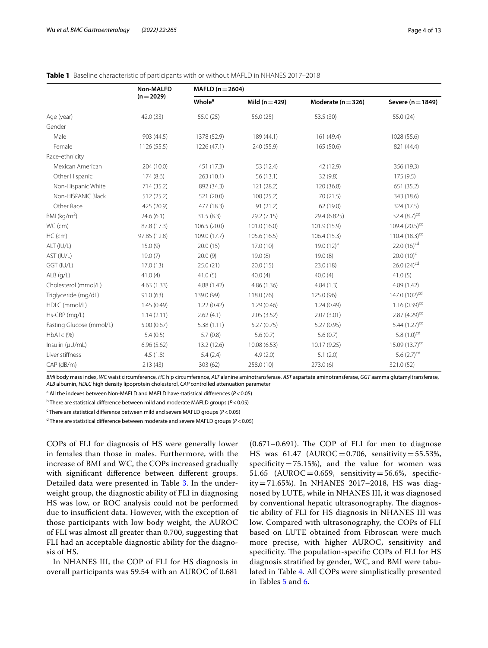|                          | Non-MALFD    | MAFLD ( $n = 2604$ )      |                    |                        |                             |
|--------------------------|--------------|---------------------------|--------------------|------------------------|-----------------------------|
|                          | $(n=2029)$   | <b>Whole</b> <sup>a</sup> | Mild ( $n = 429$ ) | Moderate ( $n = 326$ ) | Severe ( $n = 1849$ )       |
| Age (year)               | 42.0 (33)    | 55.0 (25)                 | 56.0(25)           | 53.5 (30)              | 55.0 (24)                   |
| Gender                   |              |                           |                    |                        |                             |
| Male                     | 903 (44.5)   | 1378 (52.9)               | 189 (44.1)         | 161 (49.4)             | 1028 (55.6)                 |
| Female                   | 1126 (55.5)  | 1226 (47.1)               | 240 (55.9)         | 165 (50.6)             | 821 (44.4)                  |
| Race-ethnicity           |              |                           |                    |                        |                             |
| Mexican American         | 204 (10.0)   | 451 (17.3)                | 53 (12.4)          | 42 (12.9)              | 356 (19.3)                  |
| Other Hispanic           | 174(8.6)     | 263 (10.1)                | 56(13.1)           | 32(9.8)                | 175(9.5)                    |
| Non-Hispanic White       | 714 (35.2)   | 892 (34.3)                | 121 (28.2)         | 120 (36.8)             | 651 (35.2)                  |
| Non-HISPANIC Black       | 512 (25.2)   | 521 (20.0)                | 108 (25.2)         | 70 (21.5)              | 343 (18.6)                  |
| Other Race               | 425 (20.9)   | 477 (18.3)                | 91(21.2)           | 62 (19.0)              | 324 (17.5)                  |
| BMI ( $kg/m2$ )          | 24.6(6.1)    | 31.5(8.3)                 | 29.2 (7.15)        | 29.4 (6.825)           | 32.4 $(8.7)^{cd}$           |
| WC (cm)                  | 87.8 (17.3)  | 106.5 (20.0)              | 101.0 (16.0)       | 101.9 (15.9)           | 109.4 $(20.5)^{cd}$         |
| HC (cm)                  | 97.85 (12.8) | 109.0 (17.7)              | 105.6 (16.5)       | 106.4 (15.3)           | 110.4 $(18.3)^{cd}$         |
| ALT (IU/L)               | 15.0(9)      | 20.0(15)                  | 17.0(10)           | 19.0 $(12)^{b}$        | 22.0 $(16)^{cd}$            |
| AST (IU/L)               | 19.0(7)      | 20.0(9)                   | 19.0(8)            | 19.0(8)                | $20.0(10)^{c}$              |
| GGT (IU/L)               | 17.0(13)     | 25.0(21)                  | 20.0(15)           | 23.0 (18)              | 26.0 $(24)^{cd}$            |
| $ALB$ (g/L)              | 41.0(4)      | 41.0(5)                   | 40.0(4)            | 40.0(4)                | 41.0(5)                     |
| Cholesterol (mmol/L)     | 4.63(1.33)   | 4.88 (1.42)               | 4.86 (1.36)        | 4.84(1.3)              | 4.89(1.42)                  |
| Triglyceride (mg/dL)     | 91.0(63)     | 139.0 (99)                | 118.0 (76)         | 125.0 (96)             | 147.0 (102) <sup>cd</sup>   |
| HDLC (mmol/L)            | 1.45(0.49)   | 1.22(0.42)                | 1.29(0.46)         | 1.24(0.49)             | $1.16(0.39)^{cd}$           |
| Hs-CRP (mg/L)            | 1.14(2.11)   | 2.62(4.1)                 | 2.05(3.52)         | 2.07(3.01)             | $2.87(4.29)^{cd}$           |
| Fasting Glucose (mmol/L) | 5.00(0.67)   | 5.38(1.11)                | 5.27(0.75)         | 5.27 (0.95)            | 5.44 $(1.27)$ <sup>cd</sup> |
| HbA1c (%)                | 5.4(0.5)     | 5.7(0.8)                  | 5.6(0.7)           | 5.6(0.7)               | 5.8 $(1.0)^{cd}$            |
| Insulin (µU/mL)          | 6.96(5.62)   | 13.2 (12.6)               | 10.08 (6.53)       | 10.17 (9.25)           | 15.09 $(13.7)^{cd}$         |
| Liver stiffness          | 4.5(1.8)     | 5.4(2.4)                  | 4.9(2.0)           | 5.1(2.0)               | 5.6 $(2.7)^{cd}$            |
| $CAP$ ( $dB/m$ )         | 213(43)      | 303 (62)                  | 258.0 (10)         | 273.0(6)               | 321.0 (52)                  |

## <span id="page-3-0"></span>**Table 1** Baseline characteristic of participants with or without MAFLD in NHANES 2017–2018

*BMI* body mass index, *WC* waist circumference, *HC* hip circumference, *ALT* alanine aminotransferase, *AST* aspartate aminotransferase, *GGT* aamma glutamyltransferase, *ALB* albumin, *HDLC* high density lipoprotein cholesterol, *CAP* controlled attenuation parameter

<sup>a</sup> All the indexes between Non-MAFLD and MAFLD have statistical differences (P<0.05)

<sup>b</sup> There are statistical difference between mild and moderate MAFLD groups (P<0.05)

c There are statistical diference between mild and severe MAFLD groups (*P*<0.05)

<sup>d</sup> There are statistical difference between moderate and severe MAFLD groups (P<0.05)

COPs of FLI for diagnosis of HS were generally lower in females than those in males. Furthermore, with the increase of BMI and WC, the COPs increased gradually with signifcant diference between diferent groups. Detailed data were presented in Table [3.](#page-5-0) In the underweight group, the diagnostic ability of FLI in diagnosing HS was low, or ROC analysis could not be performed due to insufficient data. However, with the exception of those participants with low body weight, the AUROC of FLI was almost all greater than 0.700, suggesting that FLI had an acceptable diagnostic ability for the diagnosis of HS.

In NHANES III, the COP of FLI for HS diagnosis in overall participants was 59.54 with an AUROC of 0.681

 $(0.671-0.691)$ . The COP of FLI for men to diagnose HS was  $61.47$  (AUROC = 0.706, sensitivity = 55.53%, specificity=75.15%), and the value for women was 51.65 (AUROC=0.659, sensitivity=56.6%, specificity=71.65%). In NHANES 2017–2018, HS was diagnosed by LUTE, while in NHANES III, it was diagnosed by conventional hepatic ultrasonography. The diagnostic ability of FLI for HS diagnosis in NHANES III was low. Compared with ultrasonography, the COPs of FLI based on LUTE obtained from Fibroscan were much more precise, with higher AUROC, sensitivity and specificity. The population-specific COPs of FLI for HS diagnosis stratifed by gender, WC, and BMI were tabulated in Table [4.](#page-7-0) All COPs were simplistically presented in Tables [5](#page-9-0) and [6](#page-10-1).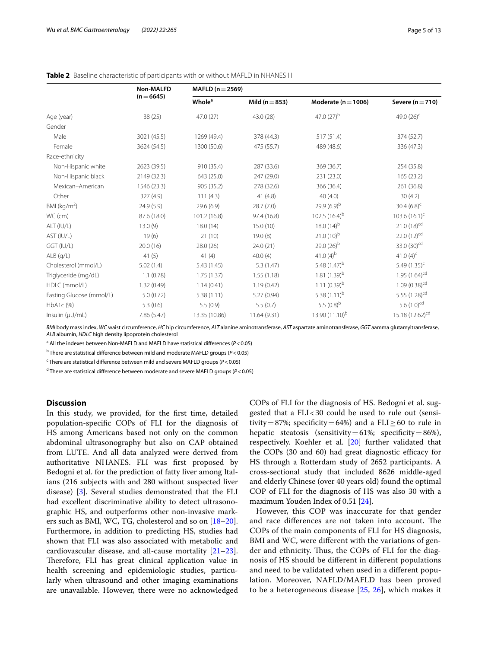|                          | <b>Non-MALFD</b> | MAFLD ( $n = 2569$ )      |                    |                         |                             |
|--------------------------|------------------|---------------------------|--------------------|-------------------------|-----------------------------|
|                          | $(n=6645)$       | <b>Whole</b> <sup>a</sup> | Mild ( $n = 853$ ) | Moderate ( $n = 1006$ ) | Severe $(n=710)$            |
| Age (year)               | 38 (25)          | 47.0 (27)                 | 43.0 (28)          | 47.0 $(27)^{b}$         | 49.0 $(26)^c$               |
| Gender                   |                  |                           |                    |                         |                             |
| Male                     | 3021 (45.5)      | 1269 (49.4)               | 378 (44.3)         | 517(51.4)               | 374 (52.7)                  |
| Female                   | 3624 (54.5)      | 1300 (50.6)               | 475 (55.7)         | 489 (48.6)              | 336 (47.3)                  |
| Race-ethnicity           |                  |                           |                    |                         |                             |
| Non-Hispanic white       | 2623 (39.5)      | 910 (35.4)                | 287 (33.6)         | 369 (36.7)              | 254 (35.8)                  |
| Non-Hispanic black       | 2149 (32.3)      | 643 (25.0)                | 247 (29.0)         | 231 (23.0)              | 165 (23.2)                  |
| Mexican-American         | 1546 (23.3)      | 905 (35.2)                | 278 (32.6)         | 366 (36.4)              | 261 (36.8)                  |
| Other                    | 327 (4.9)        | 111(4.3)                  | 41(4.8)            | 40(4.0)                 | 30(4.2)                     |
| BMI (kg/m <sup>2</sup> ) | 24.9(5.9)        | 29.6(6.9)                 | 28.7(7.0)          | $29.9(6.9)^{b}$         | 30.4 $(6.8)^c$              |
| WC (cm)                  | 87.6 (18.0)      | 101.2 (16.8)              | 97.4 (16.8)        | 102.5 $(16.4)^{b}$      | $103.6(16.1)^c$             |
| ALT (IU/L)               | 13.0(9)          | 18.0(14)                  | 15.0(10)           | 18.0 $(14)^{b}$         | $21.0(18)^{cd}$             |
| AST (IU/L)               | 19(6)            | 21(10)                    | 19.0(8)            | $21.0(10)^{b}$          | 22.0 $(12)^{cd}$            |
| GGT (IU/L)               | 20.0(16)         | 28.0 (26)                 | 24.0 (21)          | 29.0 $(26)^{b}$         | 33.0 (30) <sup>cd</sup>     |
| $ALB$ (g/L)              | 41(5)            | 41(4)                     | 40.0(4)            | 41.0 $(4)^{b}$          | 41.0 $(4)^{c}$              |
| Cholesterol (mmol/L)     | 5.02(1.4)        | 5.43(1.45)                | 5.3(1.47)          | 5.48 $(1.47)^{b}$       | 5.49 $(1.35)^c$             |
| Triglyceride (mg/dL)     | 1.1(0.78)        | 1.75(1.37)                | 1.55(1.18)         | 1.81 $(1.39)^b$         | $1.95(1.64)^{cd}$           |
| HDLC (mmol/L)            | 1.32(0.49)       | 1.14(0.41)                | 1.19(0.42)         | $1.11(0.39)^{b}$        | $1.09(0.38)^{cd}$           |
| Fasting Glucose (mmol/L) | 5.0(0.72)        | 5.38(1.11)                | 5.27(0.94)         | 5.38 $(1.11)^{b}$       | 5.55 (1.28) <sup>cd</sup>   |
| HbA1c (%)                | 5.3(0.6)         | 5.5(0.9)                  | 5.5(0.7)           | 5.5 $(0.8)^{b}$         | 5.6 $(1.0)^{cd}$            |
| Insulin (µU/mL)          | 7.86 (5.47)      | 13.35 (10.86)             | 11.64 (9.31)       | 13.90 $(11.10)^{b}$     | 15.18 (12.62) <sup>cd</sup> |

<span id="page-4-0"></span>

|  |  | Table 2 Baseline characteristic of participants with or without MAFLD in NHANES III |  |  |  |  |  |  |  |  |
|--|--|-------------------------------------------------------------------------------------|--|--|--|--|--|--|--|--|
|--|--|-------------------------------------------------------------------------------------|--|--|--|--|--|--|--|--|

*BMI* body mass index, *WC* waist circumference, *HC* hip circumference, *ALT* alanine aminotransferase, *AST* aspartate aminotransferase, *GGT* aamma glutamyltransferase, *ALB* albumin, *HDLC* high density lipoprotein cholesterol

<sup>a</sup> All the indexes between Non-MAFLD and MAFLD have statistical differences (P<0.05)

<sup>b</sup> There are statistical difference between mild and moderate MAFLD groups (P<0.05)

<sup>c</sup> There are statistical difference between mild and severe MAFLD groups (P<0.05)

d There are statistical diference between moderate and severe MAFLD groups (*P*<0.05)

### **Discussion**

In this study, we provided, for the frst time, detailed population-specifc COPs of FLI for the diagnosis of HS among Americans based not only on the common abdominal ultrasonography but also on CAP obtained from LUTE. And all data analyzed were derived from authoritative NHANES. FLI was first proposed by Bedogni et al. for the prediction of fatty liver among Italians (216 subjects with and 280 without suspected liver disease) [[3](#page-11-2)]. Several studies demonstrated that the FLI had excellent discriminative ability to detect ultrasonographic HS, and outperforms other non-invasive markers such as BMI, WC, TG, cholesterol and so on [[18](#page-11-15)[–20](#page-11-16)]. Furthermore, in addition to predicting HS, studies had shown that FLI was also associated with metabolic and cardiovascular disease, and all-cause mortality [[21](#page-11-17)[–23](#page-11-18)]. Therefore, FLI has great clinical application value in health screening and epidemiologic studies, particularly when ultrasound and other imaging examinations are unavailable. However, there were no acknowledged COPs of FLI for the diagnosis of HS. Bedogni et al. suggested that a FLI<30 could be used to rule out (sensitivity=87%; specificity=64%) and a FLI $\geq$ 60 to rule in hepatic steatosis (sensitivity=61%; specificity=86%), respectively. Koehler et al. [[20\]](#page-11-16) further validated that the COPs (30 and 60) had great diagnostic efficacy for HS through a Rotterdam study of 2652 participants. A cross-sectional study that included 8626 middle-aged and elderly Chinese (over 40 years old) found the optimal COP of FLI for the diagnosis of HS was also 30 with a maximum Youden Index of 0.51 [[24](#page-11-19)].

However, this COP was inaccurate for that gender and race differences are not taken into account. The COPs of the main components of FLI for HS diagnosis, BMI and WC, were diferent with the variations of gender and ethnicity. Thus, the COPs of FLI for the diagnosis of HS should be diferent in diferent populations and need to be validated when used in a diferent population. Moreover, NAFLD/MAFLD has been proved to be a heterogeneous disease [\[25](#page-11-20), [26](#page-11-21)], which makes it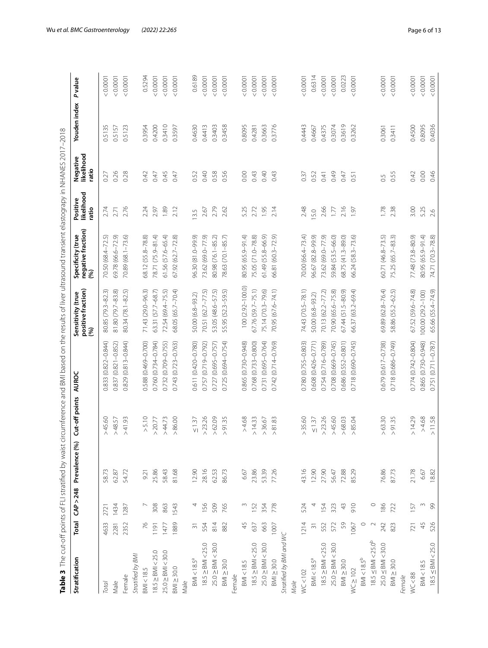<span id="page-5-0"></span>

| ֕                                                     |
|-------------------------------------------------------|
| į                                                     |
| $\overline{\phantom{a}}$                              |
| I                                                     |
| Į                                                     |
|                                                       |
| $\frac{1}{2}$<br>ì                                    |
|                                                       |
| J                                                     |
|                                                       |
| S                                                     |
|                                                       |
| ĺ<br>ï<br>ī                                           |
| ł<br>Ï<br>$\overline{)}$                              |
|                                                       |
| i                                                     |
|                                                       |
|                                                       |
| ï<br>1                                                |
| $\overline{ }$                                        |
| Ï<br>Ï<br>j                                           |
|                                                       |
| 5                                                     |
| ١<br>j                                                |
| י<br>י<br>j<br>j                                      |
|                                                       |
| ׇ֚֘֝֬                                                 |
| Í<br>l                                                |
| 5                                                     |
|                                                       |
|                                                       |
| ł                                                     |
| .<br>d                                                |
|                                                       |
| 1                                                     |
|                                                       |
| l                                                     |
| ֖֖֖֖֧֖ׅ֖֧ׅׅׅׅׅׅ֧֚֚֚֚֚֚֚֚֚֚֚֚֚֚֚֚֚֚֚֚֡֝֝֝֬֓֡֬֝֬֝֬<br>ï |
| Ì<br>j<br>ׇ֚֘֝֬<br>ׇ֚֘                                |
| Ċ<br>ī<br>l                                           |
| ֚֚֚֬                                                  |
| i                                                     |
| Ï<br>١<br>j<br>l                                      |
| ţ                                                     |
| ľ                                                     |
| Ì                                                     |
| l<br>i                                                |
|                                                       |
|                                                       |
| ׇ֚֬֕                                                  |
| ׇ֚֘֡<br>$\overline{\phantom{a}}$                      |
|                                                       |
|                                                       |
| ī                                                     |
| ١                                                     |
| ļ<br>Į                                                |
| i                                                     |
| 1<br>$\frac{1}{2}$<br><b>.</b>                        |
| $\frac{1}{2}$<br>ī<br>5                               |
| $\frac{4}{3}$                                         |
| $\geq$                                                |
| l<br>Ï<br>Į                                           |
| $\frac{4}{3}$                                         |
|                                                       |
|                                                       |
|                                                       |
|                                                       |
|                                                       |
|                                                       |
| ׇ֚֬֕                                                  |
| 1                                                     |
| I                                                     |
|                                                       |
| d                                                     |
|                                                       |

| Stratification                   | Total                    | CAP > 248 | Prevalence (%) | ut-off points<br>J     | AUROC                  | positive fraction)<br>Sensitivity (true<br>(%) | negative fraction)<br>Specificity (true<br>$\mathcal{S}$ | likelihood<br>Positive<br>ratio | Negative<br>likelihood<br>ratio | Youden index | <b>P</b> value |
|----------------------------------|--------------------------|-----------|----------------|------------------------|------------------------|------------------------------------------------|----------------------------------------------------------|---------------------------------|---------------------------------|--------------|----------------|
| Total                            | 4633                     | 2721      | 58.73          | 45.60<br>Λ             | 0.833 (0.822-0.844)    | 80.85 (79.3-82.3)                              | 70.50 (68.4–72.5)                                        | 2.74                            | 0.27                            | 0.5135       | 0.0001         |
| Male                             | 2281                     | 1434      | 62.87          | 48.57<br>$\land$       | 0.837 (0.821-0.852)    | 81.80 (79.7-83.8)                              | 69.78 (66.6-72.9)                                        | 2.71                            | 0.26                            | 0.5157       | 0.0001         |
| Female                           | 2352                     | 1287      | 54.72          | >41.93                 | $0.829(0.813 - 0.844)$ | 80.34 (78.1-82.5)                              | 70.89 (68.1-73.6)                                        | 2.76                            | 0.28                            | 0.5123       | 0.0001         |
| Stratified by BMI                |                          |           |                |                        |                        |                                                |                                                          |                                 |                                 |              |                |
| BM < 18.5                        | 76                       |           | 9.21           | > 5.10                 | 0.588 (0.469-0.700)    | 71.43 (29.0-96.3)                              | 58.12 (55.8-78.8)                                        | 2.24                            | 0.42                            | 0.3954       | 0.5294         |
| $18.5 \geq$ BMI < 25.0           | 1191                     | 308       | 25.86          | $>$ 20.77 $\,$         | $0.760(0.734 - 0.784)$ | 53.31 (57.7-68.7)                              | 78.71 (75.9-81.4)                                        | 2.97                            | 0.47                            | 0.4200       | < 0.0001       |
| $25.0 \geq$ BMI < 30.0           | 1477                     | 863       | 58.43          |                        | 0.732 (0.709-0.755)    | 72.54 (69.4-75.5)                              | 61.56 (57.6-65.4)                                        | 1.89                            | 0.45                            | 0.3410       | 100001         |
| $BM \geq 30.0$                   | 1889                     | 1543      | 81.68          | $>44.73$<br>$>86.00$   | 0.743 (0.723-0.763)    | 68.05 (65.7-70.4)                              | 67.92 (62.7-72.8)                                        | 2.12                            | 0.47                            | 0.3597       | < 0.0001       |
| Male                             |                          |           |                |                        |                        |                                                |                                                          |                                 |                                 |              |                |
| $BMI < 18.5^a$                   | $\overline{\mathcal{S}}$ |           | 12.90          | $\leq 1.37$            | 0.611 (0.420-0.780)    | 50.00 (6.8-93.2)                               | 96.30 (81.0-99.9)                                        | 13.5                            | 0.52                            | 0.4630       | 0.6189         |
| $18.5 \geq$ BMI < 25.0           | 554                      | 156       | 28.16          | $>$ 23.26              | 0.757 (0.719-0.792)    | 70.51 (62.7-77.5)                              | 73.62 (69.0-77.9)                                        | 2.67                            | 0.40                            | 0.4413       | 0.0001         |
| $25.0 \geq$ BMI < 30.0           | 814                      | 509       | 62.53          | >62.09                 | 0.727 (0.695-0.757)    | 53.05 (48.6-57.5)                              | 30.98 (76.1-85.2)                                        | 2.79                            | 0.58                            | 0.3403       | 0.0001         |
| $BMl \geq 30.0$                  | 882                      | 765       | 86.73          | >91.35                 | 0.725 (0.694-0.754)    | 55.95 (52.3-59.5)                              | 78.63 (70.1-85.7)                                        | 2.62                            | 0.56                            | 0.3458       | 0.0001         |
| Female                           |                          |           |                |                        |                        |                                                |                                                          |                                 |                                 |              |                |
| BM < 18.5                        | 45                       | m         | 6.67           | >4.68                  | 0.865 (0.730-0.948)    | $100(2.92 - 100.0)$                            | 80.95 (65.9-91.4)                                        | 5.25                            | 0.00                            | 0.8095       | 0.0001         |
| $18.5 \geq$ BMI < 25.0           | 637                      | 152       | 23.86          | > 14.33                | 0.768 (0.733-0.800)    | 57.76 (59.7-75.1)                              | 75.05 (71.0-78.8)                                        | 2.72                            | 0.43                            | 0.4281       | 0.0001         |
| $25.0 \geq$ BMI < 30.0           | 663                      | 354       | 53.39          | > 36.67                | 0.731 (0.695-0.764)    | 75.14 (70.3-79.6)                              | $61.49(55.8 - 66.9)$                                     | 1.95                            | 0.40                            | 0.3663       | < 0.0001       |
| $BMl \geq 30.0$                  | 1007                     | 778       | 77.26          | > 81.83                | 0.742 (0.714-0.769)    | 70.95 (67.6-74.1)                              | 56.81 (60.3-72.9)                                        | 2.14                            | 0.43                            | 0.3776       | 0.0001         |
| Stratified by BMI and WC         |                          |           |                |                        |                        |                                                |                                                          |                                 |                                 |              |                |
| Male                             |                          |           |                |                        |                        |                                                |                                                          |                                 |                                 |              |                |
| WC < 102                         | 1214                     | 524       | 43.16          | > 35.60                | 0.780 (0.755-0.803)    | 74.43 (70.5-78.1)                              | 70.00 (66.4-73.4)                                        | 2.48                            | 0.37                            | 0.4443       | 0.0001         |
| $BMI < 18.5^a$                   | $\overline{3}$           |           | 12.90          | $\leq 1.37$            | 0.608 (0.426-0.771)    | 50.00 (6.8-93.2)                               | 96.67 (82.8-99.9)                                        | 5.0                             | 0.52                            | 0.4667       | 0.6314         |
| $18.5 \geq$ BMI < 25.0           | 552                      | 154       | 27.90          | $>$ 23.26              | 0.754 (0.716-0.789)    | 70.13 (62.2-77.2)                              | 73.62 (69.0-77.9)                                        | 2.66                            | 0.41                            | 0.4375       | 0.0001         |
| $25.0 \geq$ BMI < 30.0           | 572                      | 323       | 56.47          | >45.60                 | 0.708 (0.669-0.745)    | 70.90 (65.6-75.8)                              | 59.84 (53.5-66.0)                                        | 1.77                            | 0.49                            | 0.3074       | < 0.0001       |
| $BMI \geq 30.0$                  | 59                       | 43        | 72.88          | $> 68.03$<br>$> 85.04$ | 0.686 (0.552-0.801)    | 67.44 (51.5-80.9)                              | 58.75 (41.3-89.0)                                        | 2.16                            | 0.47                            | 0.3619       | 0.0223         |
| $WC \ge 102$                     | 1067                     | 910       | 85.29          |                        | 0.718 (0.690-0.745)    | 66.37 (63.2-69.4)                              | 66.24 (58.3-73.6)                                        | 1.97                            | 0.51                            | 0.3262       | 0.0001         |
| $BMI < 18.5^b$                   | $\circ$                  |           |                |                        |                        |                                                |                                                          |                                 |                                 |              |                |
| $18.5 \leq$ BMI < $25.0^{\circ}$ | $\sim$                   | $\circ$   |                |                        |                        |                                                |                                                          |                                 |                                 |              |                |
| $25.0 \leq$ BMI < 30.0           | 242                      | 186       | 76.86          | > 63.30                | 0.679 (0.617-0.738)    | 69.89 (62.8-76.4)                              | 60.71 (46.8-73.5)                                        | 1.78                            | 0.5                             | 0.3061       | 0.0001         |
| $BM \geq 30.0$                   | 823                      | 722       | 87.73          | >91.35                 | 0.718 (0.686-0.749)    | 58.86 (55.2-62.5)                              | 75.25 (65.7-83.3)                                        | 2.38                            | 0.55                            | 0.3411       | 0.0001         |
| Female                           |                          |           |                |                        |                        |                                                |                                                          |                                 |                                 |              |                |
| WC < 88                          | 721                      | 157       | 21.78          | > 14.29                | $0.774(0.742 - 0.804)$ | 67.52 (59.6-74.8)                              | 77.48 (73.8-80.9)                                        | 3.00                            | 0.42                            | 0.4500       | 0.0001         |
| BM < 18.5                        | 45                       | $\sim$    | 6.67           | >4.68                  | 0.865 (0.730-0.948)    | 100.00 (29.2-100)                              | 80.95 (65.9-91.4)                                        | 5.25                            | 0.00                            | 0.8095       | 0.0001         |
| $18.5 \leq$ BMI < 25.0           | 526                      | 99        | 18.82          | 11.58<br>$\land$       | 0.751 (0.711-0.787)    | 65.66 (55.4-74.9)                              | 74.71 (70.3-78.8)                                        | 2.6                             | 0.46                            | 0.4036       | 0.0001         |
|                                  |                          |           |                |                        |                        |                                                |                                                          |                                 |                                 |              |                |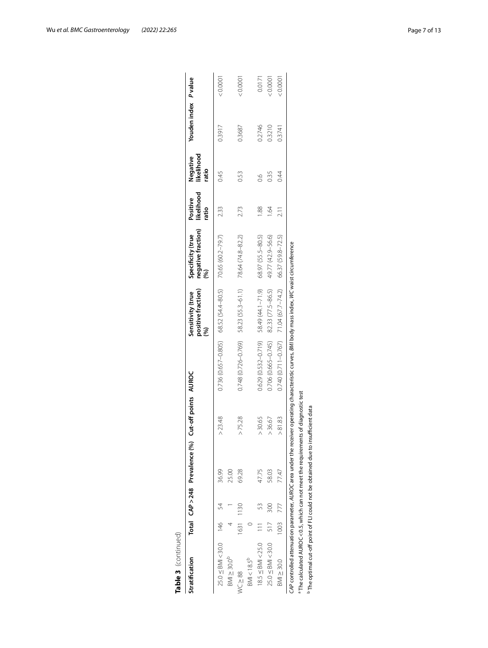| Table 3 (continued)                                                                             |      |       |                                |                      |                                                                                                                                                  |                                                            |                                  |                                 |                                 |                      |          |
|-------------------------------------------------------------------------------------------------|------|-------|--------------------------------|----------------------|--------------------------------------------------------------------------------------------------------------------------------------------------|------------------------------------------------------------|----------------------------------|---------------------------------|---------------------------------|----------------------|----------|
| Stratification                                                                                  |      |       | Total CAP > 248 Prevalence (%) | Cut-off points AUROC |                                                                                                                                                  | positive fraction)<br>Sensitivity (true<br>(%)             | negative fraction)<br>(%)<br>(%) | likelihood<br>Positive<br>ratio | likelihood<br>Negative<br>ratio | Youden index P value |          |
| $25.0 \leq$ BMI < 30.0 146                                                                      |      |       | 36.99                          | $>$ 23.48            |                                                                                                                                                  | $0.736(0.657 - 0.805)$ 68.52 (54.4-80.5) 70.65 (60.2-79.7) |                                  | 233                             | 0.45                            | 0.3917               | 10000    |
| $BMI \geq 30.0^P$                                                                               |      |       | 25.00                          |                      |                                                                                                                                                  |                                                            |                                  |                                 |                                 |                      |          |
| $WC \geq 88$                                                                                    | 1631 | l 130 | 69.28                          | > 75.28              | $0.748(0.726 - 0.769)$                                                                                                                           | 58.23 (55.3-61.1)                                          | 78.64 (74.8-82.2)                | 2.73                            | 0.53                            | 0.3687               | 0.0001   |
| $BMI < 18.5^{b}$                                                                                |      |       |                                |                      |                                                                                                                                                  |                                                            |                                  |                                 |                                 |                      |          |
| $18.5 \leq$ BMI < 25.0                                                                          |      |       | 47.75                          | > 30.65              |                                                                                                                                                  | $0.629(0.532 - 0.719)$ 58.49 (44.1-71.9)                   | 68.97 (55.5-80.5)                | $\frac{88}{1}$                  | $\frac{8}{2}$                   | 0.2746               | 0.0171   |
| $25.0 \leq$ BMI < 30.0                                                                          | 517  | 300   | 58.03                          | > 36.67              | 0.706 (0.665-0.745)                                                                                                                              | 82.33 (77.5-86.5)                                          | 49.77 (42.9-56.6)                | $\overline{6}$                  | 0.35                            | 0.3210               | : 0.0001 |
| $BM = 30.0$                                                                                     | 1003 |       | 77.47                          | > 81.83              |                                                                                                                                                  | $0.740(0.711 - 0.767)$ 71.04 (67.7-74.2)                   | 66.37 (59.8-72.5)                | $\frac{1}{2}$                   | 0.44                            | 0.3741               | 200001   |
|                                                                                                 |      |       |                                |                      | CAP controlled attenuation parameter, AUROC area under the receiver operating characteristic curves, BMI body mass index, WC waist circumference |                                                            |                                  |                                 |                                 |                      |          |
| <sup>a</sup> The calculated AUROC < 0.5, which can not meet the requirements of diagnostic test |      |       |                                |                      |                                                                                                                                                  |                                                            |                                  |                                 |                                 |                      |          |
| <sup>p</sup> The optimal cut-off point of FLI could not be obtained due to insufficient data    |      |       |                                |                      |                                                                                                                                                  |                                                            |                                  |                                 |                                 |                      |          |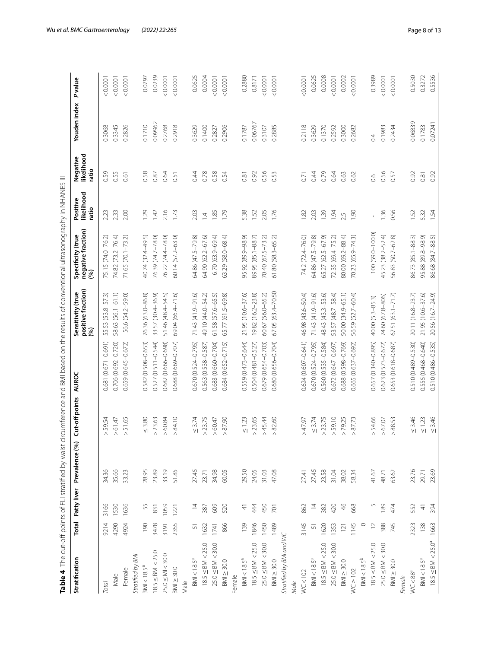<span id="page-7-0"></span>

| ļ                                                       |
|---------------------------------------------------------|
|                                                         |
|                                                         |
|                                                         |
| ï                                                       |
|                                                         |
| l<br>ׇ֚֘֝֬֝                                             |
|                                                         |
|                                                         |
|                                                         |
|                                                         |
|                                                         |
|                                                         |
|                                                         |
|                                                         |
| i                                                       |
| ç                                                       |
| i                                                       |
|                                                         |
| I                                                       |
|                                                         |
|                                                         |
| I                                                       |
| ١                                                       |
|                                                         |
|                                                         |
|                                                         |
|                                                         |
|                                                         |
|                                                         |
| I                                                       |
|                                                         |
|                                                         |
|                                                         |
| l                                                       |
| i                                                       |
|                                                         |
| ֖֖֖֖֖֧ׅ֧ׅ֧ׅ֖֖֧֚֚֚֚֚֚֚֚֚֚֚֚֚֚֚֚֚֚֚֚֚֚֚֡֝֓֝֬֝֓֝֓֬<br>ׇ֕֕֡ |
|                                                         |
| l<br>֠                                                  |
|                                                         |
|                                                         |
|                                                         |
| Ę                                                       |
|                                                         |
|                                                         |
|                                                         |
|                                                         |
| ֘֒                                                      |
| í                                                       |
|                                                         |
| ı                                                       |
| Ì                                                       |
| j<br>Ó<br>۱                                             |
|                                                         |
|                                                         |
| :<br>:<br>i                                             |
| í<br>ì                                                  |
| ֚֘֝                                                     |
|                                                         |
|                                                         |
|                                                         |
|                                                         |
|                                                         |
|                                                         |
|                                                         |
|                                                         |
|                                                         |
|                                                         |
|                                                         |
|                                                         |
|                                                         |
|                                                         |
|                                                         |
|                                                         |
| i                                                       |
|                                                         |
|                                                         |
|                                                         |
|                                                         |
|                                                         |
|                                                         |
|                                                         |
|                                                         |
|                                                         |
|                                                         |
|                                                         |
| j<br>I                                                  |
| ŕ<br>$\mathbf{1}$                                       |
| ı                                                       |
| ł                                                       |
|                                                         |
| t                                                       |
| ¥<br>í<br>í                                             |

|                                  |                  |                  |                |                   |                        |                                                        | Table 4 The cut-off points of FLI stratified by waist circumference and BMI based on the results of conventional ultrasonography in NHANES III |                                 |                                 |              |        |
|----------------------------------|------------------|------------------|----------------|-------------------|------------------------|--------------------------------------------------------|------------------------------------------------------------------------------------------------------------------------------------------------|---------------------------------|---------------------------------|--------------|--------|
| Stratification                   | Total            | Fatty liver      | Prevalence (%) | Cut-off points    | AUROC                  | <b>Sensitivity (true<br/>positive fraction)</b><br>(%) | negative fraction)<br>(%)<br>Specificity (true                                                                                                 | likelihood<br>Positive<br>ratio | Negative<br>likelihood<br>ratio | Youden index | Pvalue |
| Total                            | 9214             | 3166             | 34.36          | 59.54<br>Λ        | 0.681 (0.671-0.691)    | 55.53 (53.8-57.3)                                      | 75.15 (74.0-76.2)                                                                                                                              | 2.23                            | 0.59                            | 0.3068       | 0.0001 |
| Male                             | 4290             | 1530             | 35.66          | 61.47<br>Λ        | 0.706 (0.692-0.720)    | 58.63 (56.1-61.1)                                      | 74.82 (73.2-76.4)                                                                                                                              | 2.33                            | 0.55                            | 0.3345       | 0.0001 |
| Female                           | 4924             | 1636             | 33.23          | 51.65<br>Λ        | 0.659 (0.645-0.672)    | 56.6 (54.2-59.0)                                       | 71.65 (70.1-73.2)                                                                                                                              | 2.00                            | 0.61                            | 0.2826       | 0.0001 |
| Stratified by BMI                |                  |                  |                |                   |                        |                                                        |                                                                                                                                                |                                 |                                 |              |        |
| $BMI < 18.5^a$                   | $\overline{190}$ | 55               | 28.95          | $\leq 3.80$       | 0.582 (0.508-0.653)    | 76.36 (63.0-86.8)                                      | 40.74 (32.4-49.5)                                                                                                                              | 1.29                            | 0.58                            | 0.1710       | 0.0797 |
| $18.5 \leq$ BMI < 25.0           | 3478             | 831              | 23.89          | .23.63<br>Λ       | $0.527(0.511 - 0.544)$ | 33.57 (30.4-36.9)                                      | 76.39 (74.7-78.0)                                                                                                                              | 1.42                            | 0.87                            | 0.09962      | 0.0239 |
| $25.0 \leq M I < 30.0$           | 3191             | 1059             | 33.19          | 60.84<br>Λ        | 0.682 (0.666-0.698)    | 51.46 (48.4-54.5)                                      | 76.22 (74.4-78.0)                                                                                                                              | 2.16                            | 0.64                            | 0.2768       | 0.0001 |
| $BMl \geq 30.0$                  | 2355             | 1221             | 51.85          | 84.10<br>Λ        | 0.688 (0.669-0.707)    | 69.04 (66.4-71.6)                                      | 60.14 (57.2-63.0)                                                                                                                              | 1.73                            | 0.51                            | 0.2918       | 0.0001 |
| Male                             |                  |                  |                |                   |                        |                                                        |                                                                                                                                                |                                 |                                 |              |        |
| $~{\rm BMI} < 18.5^{\rm a}$      | 57               | $\overline{z}$   | 27.45          | $\leq 3.74$       | 0.670 (0.524-0.795)    | $71.43(41.9 - 91.6)$                                   | 64.86 (47.5-79.8)                                                                                                                              | 2.03                            | 0.44                            | 0.3629       | 0.0625 |
| $18.5 \leq$ BMI < 25.0           | 1632             | 387              | 23.71          | .23.75<br>Λ       | 0.563 (0.538-0.587)    | 49.10 (44.0-54.2)                                      | 64.90 (62.2-67.6)                                                                                                                              | $\overline{4}$                  | 0.78                            | 0.1400       | 0.0004 |
| $25.0 \leq$ BMI<30.0             | 1741             | 609              | 34.98          | 60.47<br>Λ        | 0.683 (0.660-0.704)    | 61.58 (57.6-65.5)                                      | $6.70(63.9 - 69.4)$                                                                                                                            | 1.85                            | 0.58                            | 0.2827       | 0.0001 |
| $BM \geq 30.0$                   | 866              | 520              | 60.05          | 87.90<br>Λ        | $0.684(0.652 - 0.715)$ | 65.77 (61.5-69.8)                                      | 63.29 (58.0-68.4)                                                                                                                              | 1.79                            | 0.54                            | 0.2906       | 0.0001 |
| Female                           |                  |                  |                |                   |                        |                                                        |                                                                                                                                                |                                 |                                 |              |        |
| $\text{BMI} < 18.5^\text{a}$     | 139              | ₹                | 29.50          | $\leq 1.23$       | $0.559(0.473 - 0.644)$ | 21.95 (10.6-37.6)                                      | 95.92 (89.9-98.9)                                                                                                                              | 5.38                            | 0.81                            | 0.1787       | 0.2880 |
| $18.5 \leq$ BMI < 25.0           | 1846             | 444              | 24.05          | .23.65<br>Λ       | $0.504(0.481 - 0.527)$ | 19.82 (16.2-23.8)                                      | 89.95 (85.1-88.7)                                                                                                                              | 1.52                            | 0.92                            | 0.06767      | 0.8171 |
| $25.0 \leq$ BMI<30.0             | 1450             | 450              | 31.03          | 45.44<br>Λ        | 0.679 (0.654-0.703)    | 50.67 (56.0-65.2)                                      | 70.40 (67.5-73.2)                                                                                                                              | 2.05                            | 0.56                            | 0.3107       | 0.0001 |
| $BM \geq 30.0$                   | 1489             | $\overline{701}$ | 47.08          | 82.60<br>$\wedge$ | 0.680 (0.656-0.704)    | 67.05 (63.4-70.50                                      | 61.80 (58.3-65.2)                                                                                                                              | 1.76                            | 0.53                            | 0.2885       | 0.0001 |
| Stratified by BMI and WC         |                  |                  |                |                   |                        |                                                        |                                                                                                                                                |                                 |                                 |              |        |
| Male                             |                  |                  |                |                   |                        |                                                        |                                                                                                                                                |                                 |                                 |              |        |
| WC < 102                         | 3145             | 862              | 27.41          | -47.97<br>Λ       | 0.624 (0.607-0.641)    | 46.98 (43.6-50.4)                                      | 74.2 (72.4–76.0)                                                                                                                               | 1.82                            | 0.71                            | 0.2118       | 0.0001 |
| $BM < 18.5^a$                    | 57               | $\overline{4}$   | 27.45          | $\leq 3.74$       | $0.670(0.524 - 0.795)$ | 71.43 (41.9-91.6)                                      | 64.86 (47.5-79.8)                                                                                                                              | 2.03                            | 0.44                            | 0.3629       | 0.0625 |
| $18.5 \leq$ BMI < 25.0           | 1620             | 382              | 23.58          | 23.75<br>Λ        | 0.560 (0.535-0.584)    | 48.43 (43.3-53.6)                                      | ଚ୍<br>65.27 (62.5-67.                                                                                                                          | 1.39                            | 0.79                            | 0.1370       | 0.0008 |
| $25.0 \leq$ BMI<30.0             | 1353             | 420              | 31.04          | 59.10<br>Λ        | $0.672(0.647 - 0.697)$ | 53.57 (48.7-58.4)                                      | 72.35 (69.4-75.2)                                                                                                                              | 1.94                            | 0.64                            | 0.2592       | 0.0001 |
| $BM \geq 30.0$                   | 121              | $\frac{6}{4}$    | 38.02          | 79.25<br>Λ        | 0.688 (0.598-0.769)    | 50.00 (34.9-65.1)                                      | 80.00 (69.2-88.4)                                                                                                                              | 2.5                             | 0.63                            | 0.3000       | 0.0002 |
| $WC \ge 102$                     | 1145             | 668              | 58.34          | 87.73<br>Λ        | 0.665 (0.637-0.692)    | 56.59 (52.7-60.4)                                      | 70.23 (65.9-74.3)                                                                                                                              | 06.1                            | 0.62                            | 0.2682       | 0.0001 |
| $BM < 18.5^b$                    | $\circ$          |                  |                |                   |                        |                                                        |                                                                                                                                                |                                 |                                 |              |        |
| $18.5 \leq$ BMI < 25.0           | $\supseteq$      | 5                | 41.67          | 54.66<br>Λ        | $0.657(0.340 - 0.895)$ | 40.00 (5.3-85.3)                                       | 100 (59.0-100.0)                                                                                                                               |                                 | 0.6                             | $\ddot{0}$   | 0.3989 |
| $25.0 \leq$ BMI<30.0             | 388              | 189              | 48.71          | 67.07             | 0.623 (0.573-0.672)    | 74.60 (67.8-806)                                       | 45.23 (38.2-52.4)                                                                                                                              | 1.36                            | 0.56                            | 0.1983       | 0.0001 |
| $BM \geq 30.0$                   | 745              | 474              | 63.62          | 88.53<br>Λ        | 0.653 (0.618-0.687)    | $67.51(63.1 - 71.7)$                                   | 56.83 (50.7-62.8)                                                                                                                              | 0.56                            | 0.57                            | 0.2434       | 0.0001 |
| Female                           |                  |                  |                |                   |                        |                                                        |                                                                                                                                                |                                 |                                 |              |        |
| WC < 88 <sup>a</sup>             | 2323             | 552              | 23.76          | $\leq 3.46$       | 0.510 (0.489-0.530)    | 20.11 (16.8-23.7)                                      | 86.73 (85.1-88.3)                                                                                                                              | 1.52                            | 0.92                            | 0.06839      | 0.5030 |
| $BM < 18.5^a$                    | 138              | $\frac{4}{3}$    | 29.71          | $\leq 1.23$       | 0.555 (0.468-0.640)    | 21.95 (10.6-37.6)                                      | 95.88 (89.8-98.9)                                                                                                                              | 5.32                            | 0.81                            | 0.1783       | 0.3272 |
| $18.5 \leq$ BMI < $25.0^{\circ}$ | 1663             | 394              | 23.69          | 53.46             | 0.510 (0.486-0.535)    | 20.56 (16.7-24.9)                                      | 86.68 (84.7-88.5)                                                                                                                              | 1.54                            | 0.92                            | 0.07241      | 0.5536 |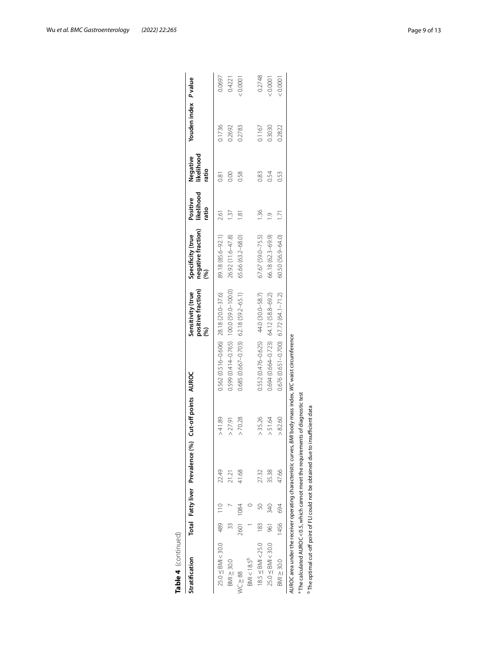| Table 4 (continued)                                                                          |      |      |                                  |                         |                                                                                                            |                                                |                                                 |                                 |                                 |                      |        |
|----------------------------------------------------------------------------------------------|------|------|----------------------------------|-------------------------|------------------------------------------------------------------------------------------------------------|------------------------------------------------|-------------------------------------------------|---------------------------------|---------------------------------|----------------------|--------|
| Stratification                                                                               |      |      | Total Fatty liver Prevalence (%) | Cut-off points<br>AUROC |                                                                                                            | positive fraction)<br>Sensitivity (true<br>Sol | negative fraction)<br>Megative fraction)<br>(%) | likelihood<br>Positive<br>ratio | likelihood<br>Negative<br>ratio | Youden index P value |        |
| $25.0 \leq$ BMI<30.0 489 110                                                                 |      |      | 22.49                            | >41.89                  | 0.562 (0.516-0.606) 28.18 (20.0-37.6)                                                                      |                                                | 89.18 (85.6-92.1)                               | 2.61                            | 0.81                            | 0.1736               | 0.0697 |
| BM > 30.0                                                                                    |      |      | 21.21                            | >27.91                  |                                                                                                            | 0.599 (0.414-0.765) 100.0 (59.0-100.0)         | 26.92 (11.6-47.8)                               | $\frac{37}{2}$                  | 8.00                            | 0.2692               | 0.4221 |
| $WC \geq 88$                                                                                 | 2601 | 1084 | 41.68                            | > 70.28                 | 0.685 (0.667-0.703) 62.18 (59.2-65.1)                                                                      |                                                | 65.66 (63.2-68.0)                               | $\frac{5}{2}$                   | 0.58                            | 0.2783               | 100001 |
| $BMI < 18.5^{b}$                                                                             |      |      |                                  |                         |                                                                                                            |                                                |                                                 |                                 |                                 |                      |        |
| $18.5 \leq$ BMI < 25.0 183                                                                   |      |      | 2732                             | > 35.26                 | $0.552(0.476 - 0.625)$ 44.0 (30.0-58.7)                                                                    |                                                | 67.67 (59.0-75.5)                               | 136                             | 0.83                            | 0.1167               | 0.2748 |
| $25.0 \leq$ BMI < 30.0                                                                       | 961  | 340  | 35.38                            | > 51.64                 | $0.694(0.664 - 0.723)$ 64.12 (58.8-69.2)                                                                   |                                                | 66.18 (62.3-69.9)                               | $\overline{O}$                  | 0.54                            | 0.3030               | 100000 |
| $B/M \geq 30.0$                                                                              | 1456 | 694  | 47.66                            | > 82.60                 | $0.676$ (0.651-0.700) 67.72 (64.1-71.2)                                                                    |                                                | 60.50 (56.9-64.0)                               | 1.71                            | 0.53                            | 0.2822               | 100000 |
|                                                                                              |      |      |                                  |                         | AUROC area under the receiver operating characteristic curves, BMI body mass index, WC waist circumference |                                                |                                                 |                                 |                                 |                      |        |
| <sup>a</sup> The calculated AUROC<0.5, which cannot meet the requirements of diagnostic test |      |      |                                  |                         |                                                                                                            |                                                |                                                 |                                 |                                 |                      |        |
| <sup>b</sup> The optimal cut-off point of FLI could not be obtained due to insufficient data |      |      |                                  |                         |                                                                                                            |                                                |                                                 |                                 |                                 |                      |        |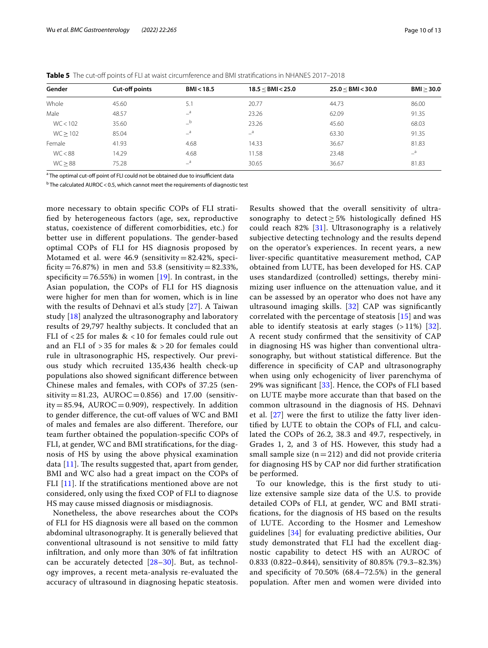| Gender   | Cut-off points | BMI < 18.5       | 18.5 < BMI < 25.0 | $25.0 <$ BMI $<$ 30.0 | BMI > 30.0                |
|----------|----------------|------------------|-------------------|-----------------------|---------------------------|
| Whole    | 45.60          | 5.1              | 20.77             | 44.73                 | 86.00                     |
| Male     | 48.57          | $\mathsf{a}$     | 23.26             | 62.09                 | 91.35                     |
| WC < 102 | 35.60          | b                | 23.26             | 45.60                 | 68.03                     |
| WC > 102 | 85.04          | $-$ <sup>a</sup> | $\equiv$ a        | 63.30                 | 91.35                     |
| Female   | 41.93          | 4.68             | 14.33             | 36.67                 | 81.83                     |
| WC < 88  | 14.29          | 4.68             | 11.58             | 23.48                 | $\mathsf{=}^{\mathsf{a}}$ |
| WC > 88  | 75.28          | a                | 30.65             | 36.67                 | 81.83                     |

<span id="page-9-0"></span>**Table 5** The cut-off points of FLI at waist circumference and BMI stratifications in NHANES 2017–2018

<sup>a</sup> The optimal cut-off point of FLI could not be obtained due to insufficient data

<sup>b</sup> The calculated AUROC < 0.5, which cannot meet the requirements of diagnostic test

more necessary to obtain specifc COPs of FLI stratifed by heterogeneous factors (age, sex, reproductive status, coexistence of diferent comorbidities, etc.) for better use in different populations. The gender-based optimal COPs of FLI for HS diagnosis proposed by Motamed et al. were  $46.9$  (sensitivity = 82.42%, specificity=76.87%) in men and 53.8 (sensitivity=82.33%, specificity=76.55%) in women  $[19]$  $[19]$ . In contrast, in the Asian population, the COPs of FLI for HS diagnosis were higher for men than for women, which is in line with the results of Dehnavi et al's study [\[27\]](#page-11-23). A Taiwan study [\[18](#page-11-15)] analyzed the ultrasonography and laboratory results of 29,797 healthy subjects. It concluded that an FLI of < 25 for males & < 10 for females could rule out and an FLI of > 35 for males & > 20 for females could rule in ultrasonographic HS, respectively. Our previous study which recruited 135,436 health check-up populations also showed signifcant diference between Chinese males and females, with COPs of 37.25 (sensitivity = 81.23, AUROC = 0.856) and 17.00 (sensitiv $ity = 85.94$ ,  $AUROC = 0.909$ , respectively. In addition to gender difference, the cut-off values of WC and BMI of males and females are also different. Therefore, our team further obtained the population-specifc COPs of FLI, at gender, WC and BMI stratifcations, for the diagnosis of HS by using the above physical examination data  $[11]$ . The results suggested that, apart from gender, BMI and WC also had a great impact on the COPs of FLI [[11\]](#page-11-10). If the stratifications mentioned above are not considered, only using the fxed COP of FLI to diagnose HS may cause missed diagnosis or misdiagnosis.

Nonetheless, the above researches about the COPs of FLI for HS diagnosis were all based on the common abdominal ultrasonography. It is generally believed that conventional ultrasound is not sensitive to mild fatty infltration, and only more than 30% of fat infltration can be accurately detected [[28–](#page-12-0)[30](#page-12-1)]. But, as technology improves, a recent meta-analysis re-evaluated the accuracy of ultrasound in diagnosing hepatic steatosis. Results showed that the overall sensitivity of ultrasonography to detect  $> 5\%$  histologically defined HS could reach 82% [[31\]](#page-12-2). Ultrasonography is a relatively subjective detecting technology and the results depend on the operator's experiences. In recent years, a new liver-specifc quantitative measurement method, CAP obtained from LUTE, has been developed for HS. CAP uses standardized (controlled) settings, thereby minimizing user infuence on the attenuation value, and it can be assessed by an operator who does not have any ultrasound imaging skills. [[32](#page-12-3)] CAP was signifcantly correlated with the percentage of steatosis [[15\]](#page-11-12) and was able to identify steatosis at early stages  $(>11%)$  [[32](#page-12-3)]. A recent study confrmed that the sensitivity of CAP in diagnosing HS was higher than conventional ultrasonography, but without statistical diference. But the diference in specifcity of CAP and ultrasonography when using only echogenicity of liver parenchyma of 29% was signifcant [[33\]](#page-12-4). Hence, the COPs of FLI based on LUTE maybe more accurate than that based on the common ultrasound in the diagnosis of HS. Dehnavi et al. [\[27](#page-11-23)] were the frst to utilize the fatty liver identifed by LUTE to obtain the COPs of FLI, and calculated the COPs of 26.2, 38.3 and 49.7, respectively, in Grades 1, 2, and 3 of HS. However, this study had a small sample size  $(n=212)$  and did not provide criteria for diagnosing HS by CAP nor did further stratifcation be performed.

To our knowledge, this is the frst study to utilize extensive sample size data of the U.S. to provide detailed COPs of FLI, at gender, WC and BMI stratifcations, for the diagnosis of HS based on the results of LUTE. According to the Hosmer and Lemeshow guidelines [[34\]](#page-12-5) for evaluating predictive abilities, Our study demonstrated that FLI had the excellent diagnostic capability to detect HS with an AUROC of 0.833 (0.822–0.844), sensitivity of 80.85% (79.3–82.3%) and specifcity of 70.50% (68.4–72.5%) in the general population. After men and women were divided into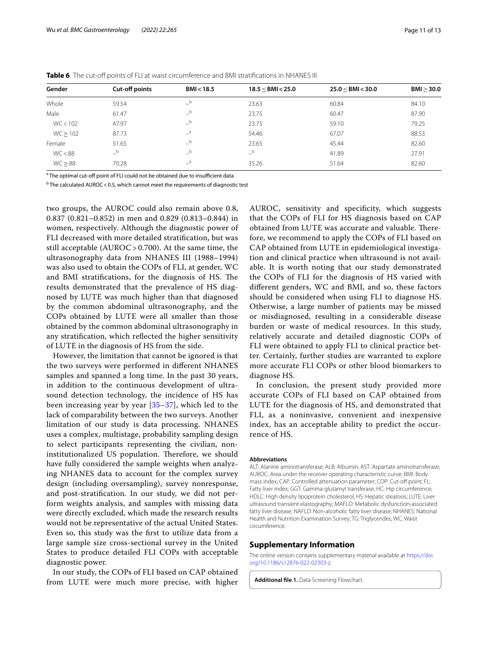| Gender   | Cut-off points                        | BMI < 18.5 | 18.5 < BMI < 25.0 | $25.0 <$ BMI $<$ 30.0 | BMI > 30.0 |
|----------|---------------------------------------|------------|-------------------|-----------------------|------------|
| Whole    | 59.54                                 | $-b$       | 23.63             | 60.84                 | 84.10      |
| Male     | 61.47                                 | $_b$       | 23.75             | 60.47                 | 87.90      |
| WC < 102 | 47.97                                 | $-b$       | 23.75             | 59.10                 | 79.25      |
| WC > 102 | 87.73                                 | $a^a$      | 54.46             | 67.07                 | 88.53      |
| Female   | 51.65                                 | $-b$       | 23.65             | 45.44                 | 82.60      |
| WC < 88  | $\overline{\phantom{a}}^{\mathsf{b}}$ | $-b$       | $-b$              | 41.89                 | 27.91      |
| WC > 88  | 70.28                                 | $\equiv$ a | 35.26             | 51.64                 | 82.60      |

<span id="page-10-1"></span>**Table 6** The cut-off points of FLI at waist circumference and BMI stratifications in NHANES III

<sup>a</sup> The optimal cut-off point of FLI could not be obtained due to insufficient data

<sup>b</sup> The calculated AUROC < 0.5, which cannot meet the requirements of diagnostic test

two groups, the AUROC could also remain above 0.8, 0.837 (0.821–0.852) in men and 0.829 (0.813–0.844) in women, respectively. Although the diagnostic power of FLI decreased with more detailed stratifcation, but was still acceptable (AUROC> 0.700). At the same time, the ultrasonography data from NHANES III (1988–1994) was also used to obtain the COPs of FLI, at gender, WC and BMI stratifications, for the diagnosis of HS. The results demonstrated that the prevalence of HS diagnosed by LUTE was much higher than that diagnosed by the common abdominal ultrasonography, and the COPs obtained by LUTE were all smaller than those obtained by the common abdominal ultrasonography in any stratifcation, which refected the higher sensitivity of LUTE in the diagnosis of HS from the side.

However, the limitation that cannot be ignored is that the two surveys were performed in diferent NHANES samples and spanned a long time. In the past 30 years, in addition to the continuous development of ultrasound detection technology, the incidence of HS has been increasing year by year [\[35](#page-12-6)–[37\]](#page-12-7), which led to the lack of comparability between the two surveys. Another limitation of our study is data processing. NHANES uses a complex, multistage, probability sampling design to select participants representing the civilian, noninstitutionalized US population. Therefore, we should have fully considered the sample weights when analyzing NHANES data to account for the complex survey design (including oversampling), survey nonresponse, and post-stratifcation. In our study, we did not perform weights analysis, and samples with missing data were directly excluded, which made the research results would not be representative of the actual United States. Even so, this study was the frst to utilize data from a large sample size cross-sectional survey in the United States to produce detailed FLI COPs with acceptable diagnostic power.

In our study, the COPs of FLI based on CAP obtained from LUTE were much more precise, with higher AUROC, sensitivity and specifcity, which suggests that the COPs of FLI for HS diagnosis based on CAP obtained from LUTE was accurate and valuable. Therefore, we recommend to apply the COPs of FLI based on CAP obtained from LUTE in epidemiological investigation and clinical practice when ultrasound is not available. It is worth noting that our study demonstrated the COPs of FLI for the diagnosis of HS varied with diferent genders, WC and BMI, and so, these factors should be considered when using FLI to diagnose HS. Otherwise, a large number of patients may be missed or misdiagnosed, resulting in a considerable disease burden or waste of medical resources. In this study, relatively accurate and detailed diagnostic COPs of FLI were obtained to apply FLI to clinical practice better. Certainly, further studies are warranted to explore more accurate FLI COPs or other blood biomarkers to diagnose HS.

In conclusion, the present study provided more accurate COPs of FLI based on CAP obtained from LUTE for the diagnosis of HS, and demonstrated that FLI, as a noninvasive, convenient and inexpensive index, has an acceptable ability to predict the occurrence of HS.

#### **Abbreviations**

ALT: Alanine aminotransferase; ALB: Albumin; AST: Aspartate aminotransferase; AUROC: Area under the receiver operating characteristic curve; BMI: Body mass index; CAP: Controlled attenuation parameter; COP: Cut-off point; FL: Fatty liver index; GGT: Gamma-glutamyl transferase; HC: Hip circumference; HDLC: High density lipoprotein cholesterol; HS: Hepatic steatosis; LUTE: Liver ultrasound transient elastography; MAFLD: Metabolic dysfunction-associated fatty liver disease; NAFLD: Non-alcoholic fatty liver disease; NHANES: National Health and Nutrition Examination Survey; TG: Triglycerides; WC: Waist circumference.

#### **Supplementary Information**

The online version contains supplementary material available at [https://doi.](https://doi.org/10.1186/s12876-022-02303-z) [org/10.1186/s12876-022-02303-z.](https://doi.org/10.1186/s12876-022-02303-z)

<span id="page-10-0"></span>**Additional fle 1.** Data Screening Flowchart.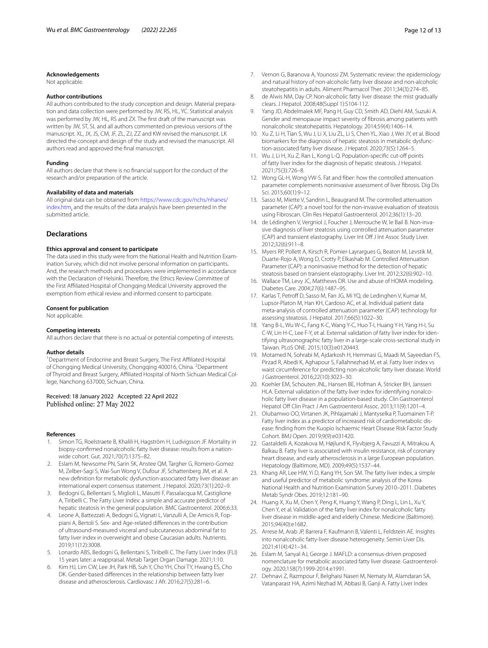#### **Acknowledgements**

Not applicable.

#### **Author contributions**

All authors contributed to the study conception and design. Material preparation and data collection were performed by JW, RS, HL, YC. Statistical analysis was performed by JW, HL, RS and ZX. The frst draft of the manuscript was written by JW, ST, SL and all authors commented on previous versions of the manuscript. XL, JX, JS, CM, JF, ZL, ZJ, ZZ and KW revised the manuscript. LK directed the concept and design of the study and revised the manuscript. All authors read and approved the fnal manuscript.

#### **Funding**

All authors declare that there is no fnancial support for the conduct of the research and/or preparation of the article.

#### **Availability of data and materials**

All original data can be obtained from [https://www.cdc.gov/nchs/nhanes/](https://www.cdc.gov/nchs/nhanes/index.htm) [index.htm](https://www.cdc.gov/nchs/nhanes/index.htm), and the results of the data analysis have been presented in the submitted article.

## **Declarations**

### **Ethics approval and consent to participate**

The data used in this study were from the National Health and Nutrition Examination Survey, which did not involve personal information on participants. And, the research methods and procedures were implemented in accordance with the Declaration of Helsinki. Therefore, the Ethics Review Committee of the First Affiliated Hospital of Chongqing Medical University approved the exemption from ethical review and informed consent to participate.

#### **Consent for publication**

Not applicable.

#### **Competing interests**

All authors declare that there is no actual or potential competing of interests.

#### **Author details**

<sup>1</sup> Department of Endocrine and Breast Surgery, The First Affiliated Hospital of Chongqing Medical University, Chongqing 400016, China. <sup>2</sup> Department of Thyroid and Breast Surgery, Afliated Hospital of North Sichuan Medical Col‑ lege, Nanchong 637000, Sichuan, China.

#### Received: 18 January 2022 Accepted: 22 April 2022 Published online: 27 May 2022

#### **References**

- <span id="page-11-0"></span>1. Simon TG, Roelstraete B, Khalili H, Hagström H, Ludvigsson JF. Mortality in biopsy-confirmed nonalcoholic fatty liver disease: results from a nationwide cohort. Gut. 2021;70(7):1375–82.
- <span id="page-11-1"></span>2. Eslam M, Newsome PN, Sarin SK, Anstee QM, Targher G, Romero-Gomez M, Zelber-Sagi S, Wai-Sun Wong V, Dufour JF, Schattenberg JM, et al. A new defnition for metabolic dysfunction-associated fatty liver disease: an international expert consensus statement. J Hepatol. 2020;73(1):202–9.
- <span id="page-11-2"></span>3. Bedogni G, Bellentani S, Miglioli L, Masutti F, Passalacqua M, Castiglione A, Tiribelli C. The Fatty Liver Index: a simple and accurate predictor of hepatic steatosis in the general population. BMC Gastroenterol. 2006;6:33.
- <span id="page-11-3"></span>4. Leone A, Battezzati A, Bedogni G, Vignati L, Vanzulli A, De Amicis R, Foppiani A, Bertoli S. Sex- and Age-related diferences in the contribution of ultrasound-measured visceral and subcutaneous abdominal fat to fatty liver index in overweight and obese Caucasian adults. Nutrients. 2019;11(12):3008.
- <span id="page-11-4"></span>5. Lonardo ABS, Bedogni G, Bellentani S, Tiribelli C. The Fatty Liver Index (FLI) 15 years later: a reappraisal. Metab Target Organ Damage. 2021;1:10.
- <span id="page-11-5"></span>6. Kim HJ, Lim CW, Lee JH, Park HB, Suh Y, Cho YH, Choi TY, Hwang ES, Cho DK. Gender-based diferences in the relationship between fatty liver disease and atherosclerosis. Cardiovasc J Afr. 2016;27(5):281–6.
- <span id="page-11-6"></span>7. Vernon G, Baranova A, Younossi ZM. Systematic review: the epidemiology and natural history of non-alcoholic fatty liver disease and non-alcoholic steatohepatitis in adults. Aliment Pharmacol Ther. 2011;34(3):274–85.
- <span id="page-11-7"></span>8. de Alwis NM, Day CP. Non-alcoholic fatty liver disease: the mist gradually clears. J Hepatol. 2008;48(Suppl 1):S104-112.
- <span id="page-11-8"></span>9. Yang JD, Abdelmalek MF, Pang H, Guy CD, Smith AD, Diehl AM, Suzuki A. Gender and menopause impact severity of fbrosis among patients with nonalcoholic steatohepatitis. Hepatology. 2014;59(4):1406–14.
- <span id="page-11-9"></span>10. Xu Z, Li H, Tian S, Wu J, Li X, Liu ZL, Li S, Chen YL, Xiao J, Wei JY, et al. Blood biomarkers for the diagnosis of hepatic steatosis in metabolic dysfunction-associated fatty liver disease. J Hepatol. 2020;73(5):1264–5.
- <span id="page-11-10"></span>11. Wu J, Li H, Xu Z, Ran L, Kong L-Q. Population-specifc cut-of points of fatty liver index for the diagnosis of hepatic steatosis. J Hepatol. 2021;75(3):726–8.
- <span id="page-11-11"></span>12. Wong GL-H, Wong VW-S. Fat and fber: how the controlled attenuation parameter complements noninvasive assessment of liver fbrosis. Dig Dis Sci. 2015;60(1):9–12.
- 13. Sasso M, Miette V, Sandrin L, Beaugrand M. The controlled attenuation parameter (CAP): a novel tool for the non-invasive evaluation of steatosis using Fibroscan. Clin Res Hepatol Gastroenterol. 2012;36(1):13–20.
- 14. de Lédinghen V, Vergniol J, Foucher J, Merrouche W, le Bail B. Non-invasive diagnosis of liver steatosis using controlled attenuation parameter (CAP) and transient elastography. Liver Int Off J Int Assoc Study Liver. 2012;32(6):911–8.
- <span id="page-11-12"></span>15. Myers RP, Pollett A, Kirsch R, Pomier-Layrargues G, Beaton M, Levstik M, Duarte-Rojo A, Wong D, Crotty P, Elkashab M. Controlled Attenuation Parameter (CAP): a noninvasive method for the detection of hepatic steatosis based on transient elastography. Liver Int. 2012;32(6):902–10.
- <span id="page-11-13"></span>16. Wallace TM, Levy JC, Matthews DR. Use and abuse of HOMA modeling. Diabetes Care. 2004;27(6):1487–95.
- <span id="page-11-14"></span>17. Karlas T, Petroff D, Sasso M, Fan JG, Mi YQ, de Ledinghen V, Kumar M, Lupsor-Platon M, Han KH, Cardoso AC, et al. Individual patient data meta-analysis of controlled attenuation parameter (CAP) technology for assessing steatosis. J Hepatol. 2017;66(5):1022–30.
- <span id="page-11-15"></span>18. Yang B-L, Wu W-C, Fang K-C, Wang Y-C, Huo T-I, Huang Y-H, Yang H-I, Su C-W, Lin H-C, Lee F-Y, et al. External validation of fatty liver index for identifying ultrasonographic fatty liver in a large-scale cross-sectional study in Taiwan. PLoS ONE. 2015;10(3):e0120443.
- <span id="page-11-22"></span>19. Motamed N, Sohrabi M, Ajdarkosh H, Hemmasi G, Maadi M, Sayeedian FS, Pirzad R, Abedi K, Aghapour S, Fallahnezhad M, et al. Fatty liver index vs waist circumference for predicting non-alcoholic fatty liver disease. World J Gastroenterol. 2016;22(10):3023–30.
- <span id="page-11-16"></span>20. Koehler EM, Schouten JNL, Hansen BE, Hofman A, Stricker BH, Janssen HLA. External validation of the fatty liver index for identifying nonalcoholic fatty liver disease in a population-based study. Clin Gastroenterol Hepatol Off Clin Pract J Am Gastroenterol Assoc. 2013;11(9):1201-4.
- <span id="page-11-17"></span>21. Olubamwo OO, Virtanen JK, Pihlajamaki J, Mantyselka P, Tuomainen T-P. Fatty liver index as a predictor of increased risk of cardiometabolic disease: fnding from the Kuopio Ischaemic Heart Disease Risk Factor Study Cohort. BMJ Open. 2019;9(9):e031420.
- 22. Gastaldelli A, Kozakova M, Højlund K, Flyvbjerg A, Favuzzi A, Mitrakou A, Balkau B. Fatty liver is associated with insulin resistance, risk of coronary heart disease, and early atherosclerosis in a large European population. Hepatology (Baltimore, MD). 2009;49(5):1537–44.
- <span id="page-11-18"></span>23. Khang AR, Lee HW, Yi D, Kang YH, Son SM. The fatty liver index, a simple and useful predictor of metabolic syndrome: analysis of the Korea National Health and Nutrition Examination Survey 2010–2011. Diabetes Metab Syndr Obes. 2019;12:181–90.
- <span id="page-11-19"></span>24. Huang X, Xu M, Chen Y, Peng K, Huang Y, Wang P, Ding L, Lin L, Xu Y, Chen Y, et al. Validation of the fatty liver index for nonalcoholic fatty liver disease in middle-aged and elderly Chinese. Medicine (Baltimore). 2015;94(40):e1682.
- <span id="page-11-20"></span>25. Arrese M, Arab JP, Barrera F, Kaufmann B, Valenti L, Feldstein AE. Insights into nonalcoholic fatty-liver disease heterogeneity. Semin Liver Dis. 2021;41(4):421–34.
- <span id="page-11-21"></span>26. Eslam M, Sanyal AJ, George J. MAFLD: a consensus-driven proposed nomenclature for metabolic associated fatty liver disease. Gastroenterology. 2020;158(7):1999-2014.e1991.
- <span id="page-11-23"></span>27. Dehnavi Z, Razmpour F, Belghaisi Naseri M, Nematy M, Alamdaran SA, Vatanparast HA, Azimi Nezhad M, Abbasi B, Ganji A. Fatty Liver Index